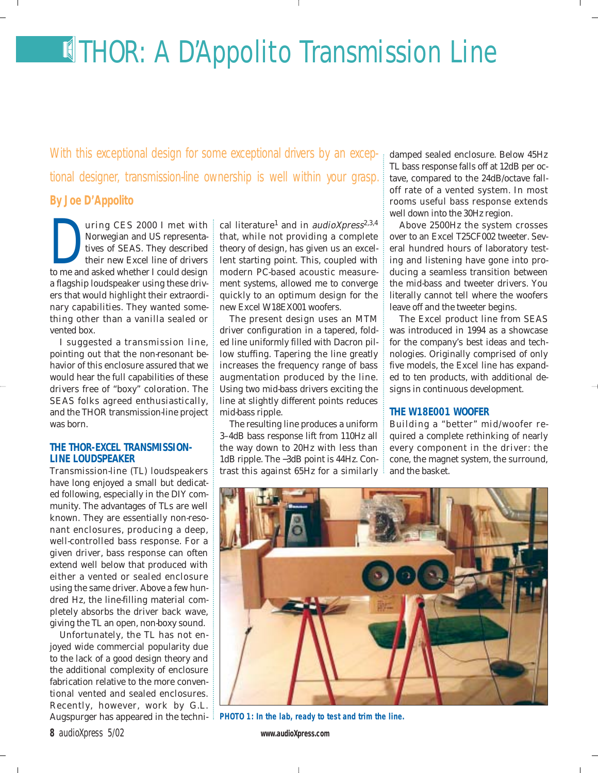### **L'IHOR: A D'Appolito Transmission Line**

With this exceptional design for some exceptional drivers by an exceptional designer, transmission-line ownership is well within your grasp.

### **By Joe D'Appolito**

uring CES 2000 I met with<br>
Norwegian and US representa-<br>
tives of SEAS. They described<br>
their new Excel line of drivers<br>
to me and asked whether I could design Norwegian and US representatives of SEAS. They described their new Excel line of drivers to me and asked whether I could design a flagship loudspeaker using these drivers that would highlight their extraordinary capabilities. They wanted something other than a vanilla sealed or vented box.

I suggested a transmission line, pointing out that the non-resonant behavior of this enclosure assured that we would hear the full capabilities of these drivers free of "boxy" coloration. The SEAS folks agreed enthusiastically, and the THOR transmission-line project was born.

### **THE THOR-EXCEL TRANSMISSION-LINE LOUDSPEAKER**

Transmission-line (TL) loudspeakers have long enjoyed a small but dedicated following, especially in the DIY community. The advantages of TLs are well known. They are essentially non-resonant enclosures, producing a deep, well-controlled bass response. For a given driver, bass response can often extend well below that produced with either a vented or sealed enclosure using the same driver. Above a few hundred Hz, the line-filling material completely absorbs the driver back wave, giving the TL an open, non-boxy sound.

Unfortunately, the TL has not enjoyed wide commercial popularity due to the lack of a good design theory and the additional complexity of enclosure fabrication relative to the more conventional vented and sealed enclosures. Recently, however, work by G.L. Augspurger has appeared in the technical literature<sup>1</sup> and in *audioXpress*<sup>2,3,4</sup> that, while not providing a complete theory of design, has given us an excellent starting point. This, coupled with modern PC-based acoustic measurement systems, allowed me to converge quickly to an optimum design for the new Excel W18EX001 woofers.

The present design uses an MTM driver configuration in a tapered, folded line uniformly filled with Dacron pillow stuffing. Tapering the line greatly increases the frequency range of bass augmentation produced by the line. Using two mid-bass drivers exciting the line at slightly different points reduces mid-bass ripple.

The resulting line produces a uniform 3–4dB bass response lift from 110Hz all the way down to 20Hz with less than 1dB ripple. The −3dB point is 44Hz. Contrast this against 65Hz for a similarly

damped sealed enclosure. Below 45Hz TL bass response falls off at 12dB per octave, compared to the 24dB/octave falloff rate of a vented system. In most rooms useful bass response extends well down into the 30Hz region.

Above 2500Hz the system crosses over to an Excel T25CF002 tweeter. Several hundred hours of laboratory testing and listening have gone into producing a seamless transition between the mid-bass and tweeter drivers. You literally cannot tell where the woofers leave off and the tweeter begins.

The Excel product line from SEAS was introduced in 1994 as a showcase for the company's best ideas and technologies. Originally comprised of only five models, the Excel line has expanded to ten products, with additional designs in continuous development.

### **THE W18E001 WOOFER**

Building a "better" mid/woofer required a complete rethinking of nearly every component in the driver: the cone, the magnet system, the surround, and the basket.



**PHOTO 1: In the lab, ready to test and trim the line.**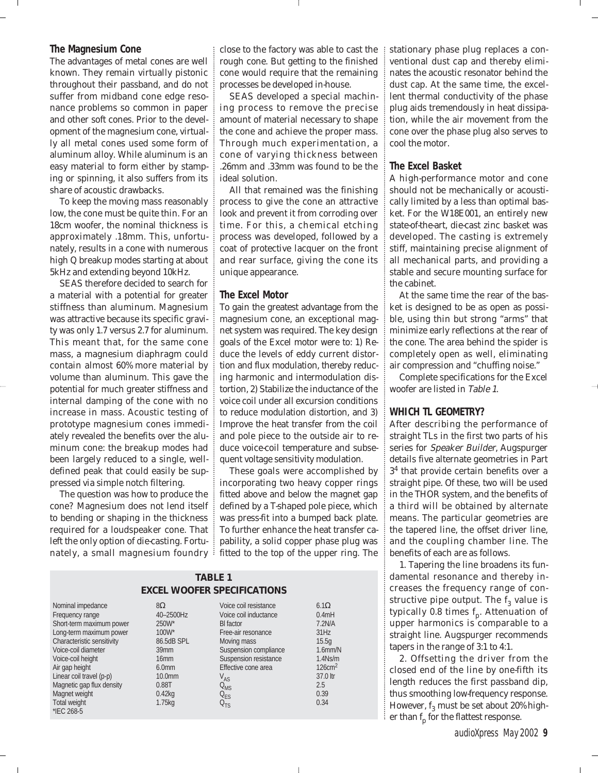### **The Magnesium Cone**

The advantages of metal cones are well known. They remain virtually pistonic throughout their passband, and do not suffer from midband cone edge resonance problems so common in paper and other soft cones. Prior to the development of the magnesium cone, virtually all metal cones used some form of aluminum alloy. While aluminum is an easy material to form either by stamping or spinning, it also suffers from its share of acoustic drawbacks.

To keep the moving mass reasonably low, the cone must be quite thin. For an 18cm woofer, the nominal thickness is approximately .18mm. This, unfortunately, results in a cone with numerous high Q breakup modes starting at about 5kHz and extending beyond 10kHz.

SEAS therefore decided to search for a material with a potential for greater stiffness than aluminum. Magnesium was attractive because its specific gravity was only 1.7 versus 2.7 for aluminum. This meant that, for the same cone mass, a magnesium diaphragm could contain almost 60% more material by volume than aluminum. This gave the potential for much greater stiffness and internal damping of the cone with no increase in mass. Acoustic testing of prototype magnesium cones immediately revealed the benefits over the aluminum cone: the breakup modes had been largely reduced to a single, welldefined peak that could easily be suppressed via simple notch filtering.

The question was how to produce the cone? Magnesium does not lend itself to bending or shaping in the thickness required for a loudspeaker cone. That left the only option of die-casting. Fortunately, a small magnesium foundry close to the factory was able to cast the rough cone. But getting to the finished cone would require that the remaining processes be developed in-house.

SEAS developed a special machining process to remove the precise amount of material necessary to shape the cone and achieve the proper mass. Through much experimentation, a cone of varying thickness between .26mm and .33mm was found to be the ideal solution.

All that remained was the finishing process to give the cone an attractive look and prevent it from corroding over time. For this, a chemical etching process was developed, followed by a coat of protective lacquer on the front and rear surface, giving the cone its unique appearance.

### **The Excel Motor**

To gain the greatest advantage from the magnesium cone, an exceptional magnet system was required. The key design goals of the Excel motor were to: 1) Reduce the levels of eddy current distortion and flux modulation, thereby reducing harmonic and intermodulation distortion, 2) Stabilize the inductance of the voice coil under all excursion conditions to reduce modulation distortion, and 3) Improve the heat transfer from the coil and pole piece to the outside air to reduce voice-coil temperature and subsequent voltage sensitivity modulation.

These goals were accomplished by incorporating two heavy copper rings fitted above and below the magnet gap defined by a T-shaped pole piece, which was press-fit into a bumped back plate. To further enhance the heat transfer capability, a solid copper phase plug was fitted to the top of the upper ring. The

### **TABLE 1 EXCEL WOOFER SPECIFICATIONS**

| Nominal impedance          | $8\Omega$          | Voice coil resistance | $6.1\Omega$           |
|----------------------------|--------------------|-----------------------|-----------------------|
| Frequency range            | 40-2500Hz          | Voice coil inductance | 0.4mH                 |
| Short-term maximum power   | 250W*              | <b>BI</b> factor      | 7.2N/A                |
| Long-term maximum power    | 100W*              | Free-air resonance    | 31Hz                  |
| Characteristic sensitivity | 86.5dB SPL         | Moving mass           | 15.5q                 |
| Voice-coil diameter        | 39mm               | Suspension compliance | $1.6$ mm/ $N$         |
| Voice-coil height          | 16 <sub>mm</sub>   | Suspension resistance | $1.4$ Ns/m            |
| Air gap height             | 6.0 <sub>mm</sub>  | Effective cone area   | $126$ cm <sup>2</sup> |
| Linear coil travel (p-p)   | 10.0 <sub>mm</sub> | $V_{AS}$              | 37.0 ltr              |
| Magnetic gap flux density  | 0.88T              | $Q_{MS}$              | 2.5                   |
| Magnet weight              | 0.42kg             | $Q_{ES}$              | 0.39                  |
| Total weight               | 1.75kg             | $Q_{TS}$              | 0.34                  |
| *IEC 268-5                 |                    |                       |                       |

stationary phase plug replaces a conventional dust cap and thereby eliminates the acoustic resonator behind the dust cap. At the same time, the excellent thermal conductivity of the phase plug aids tremendously in heat dissipation, while the air movement from the cone over the phase plug also serves to cool the motor.

### **The Excel Basket**

A high-performance motor and cone should not be mechanically or acoustically limited by a less than optimal basket. For the W18E001, an entirely new state-of-the-art, die-cast zinc basket was developed. The casting is extremely stiff, maintaining precise alignment of all mechanical parts, and providing a stable and secure mounting surface for the cabinet.

At the same time the rear of the basket is designed to be as open as possible, using thin but strong "arms" that minimize early reflections at the rear of the cone. The area behind the spider is completely open as well, eliminating air compression and "chuffing noise."

Complete specifications for the Excel woofer are listed in Table 1.

### **WHICH TL GEOMETRY?**

After describing the performance of straight TLs in the first two parts of his series for Speaker Builder, Augspurger details five alternate geometries in Part 34 that provide certain benefits over a straight pipe. Of these, two will be used in the THOR system, and the benefits of a third will be obtained by alternate means. The particular geometries are the tapered line, the offset driver line, and the coupling chamber line. The benefits of each are as follows.

1. Tapering the line broadens its fundamental resonance and thereby increases the frequency range of constructive pipe output. The  $f_3$  value is typically  $0.8$  times  $f_p$ . Attenuation of upper harmonics is comparable to a straight line. Augspurger recommends tapers in the range of 3:1 to 4:1.

2. Offsetting the driver from the closed end of the line by one-fifth its length reduces the first passband dip, thus smoothing low-frequency response. However,  $f_3$  must be set about 20% higher than  $f<sub>p</sub>$  for the flattest response.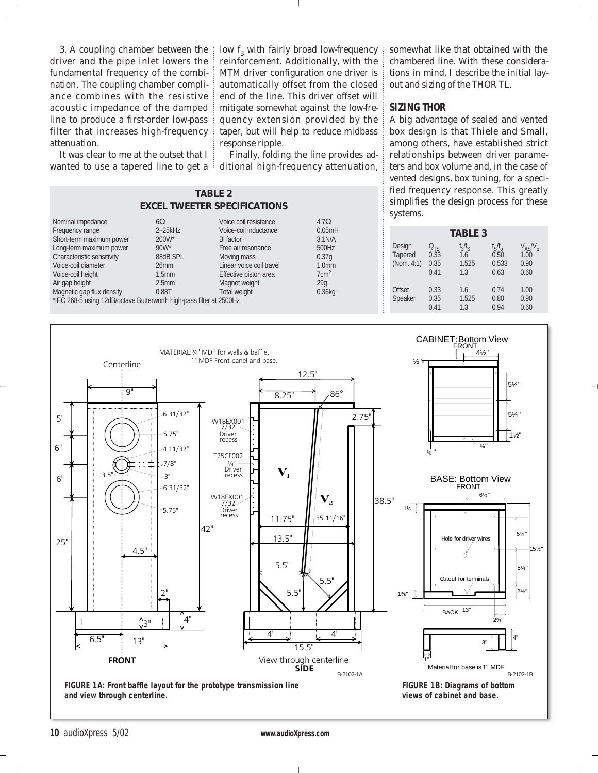3. A coupling chamber between the driver and the pipe inlet lowers the fundamental frequency of the combination. The coupling chamber compliance combines with the resistive acoustic impedance of the damped line to produce a first-order low-pass filter that increases high-frequency attenuation.

It was clear to me at the outset that I wanted to use a tapered line to get a low  $f_3$  with fairly broad low-frequency reinforcement. Additionally, with the MTM driver configuration one driver is automatically offset from the closed end of the line. This driver offset will mitigate somewhat against the low-frequency extension provided by the taper, but will help to reduce midbass response ripple.

Finally, folding the line provides additional high-frequency attenuation,

### **TABLE 2 EXCEL TWEETER SPECIFICATIONS**

| Nominal impedance                                                   | $6\Omega$         | Voice coil resistance    | 4.7 <omega< th=""></omega<> |
|---------------------------------------------------------------------|-------------------|--------------------------|-----------------------------|
| Frequency range                                                     | $2-25$ kHz        | Voice-coil inductance    | 0.05mH                      |
| Short-term maximum power                                            | 200W*             | <b>BI</b> factor         | 3.1N/A                      |
| Long-term maximum power                                             | $90W^*$           | Free air resonance       | 500Hz                       |
| Characteristic sensitivity                                          | 88dB SPL          | Moving mass              | 0.37q                       |
| Voice-coil diameter                                                 | 26mm              | Linear voice coil travel | 1.0 <sub>mm</sub>           |
| Voice-coil height                                                   | 1.5 <sub>mm</sub> | Effective piston area    | $7 \text{cm}^2$             |
| Air gap height                                                      | 2.5 <sub>mm</sub> | Magnet weight            | 29q                         |
| Magnetic gap flux density                                           | 0.88T             | <b>Total weight</b>      | $0.36$ <sub>kg</sub>        |
| *IEC 268-5 using 12dB/octave Butterworth high-pass filter at 2500Hz |                   |                          |                             |

somewhat like that obtained with the chambered line. With these considerations in mind, I describe the initial layout and sizing of the THOR TL.

### **SIZING THOR**

A big advantage of sealed and vented box design is that Thiele and Small, among others, have established strict relationships between driver parameters and box volume and, in the case of vented designs, box tuning, for a specified frequency response. This greatly simplifies the design process for these systems.

|                                        |                                       | <b>TABLE 3</b>                           |                                         |                                     |
|----------------------------------------|---------------------------------------|------------------------------------------|-----------------------------------------|-------------------------------------|
| Design<br><b>Tapered</b><br>(Nom. 4:1) | $\frac{Q_{TS}}{0.33}$<br>0.35<br>0.41 | $\frac{f_3}{f_3}$<br>1.6<br>1.525<br>1.3 | $\frac{f_S/f_p}{0.50}$<br>0.533<br>0.63 | $V_{AS}N_p$<br>1.00<br>0.90<br>0.60 |
| <b>Offset</b><br>Speaker               | 0.33<br>0.35<br>0.41                  | 1.6<br>1.525<br>1.3                      | 0.74<br>0.80<br>0.94                    | 1.00<br>0.90<br>0.60                |



 $\perp$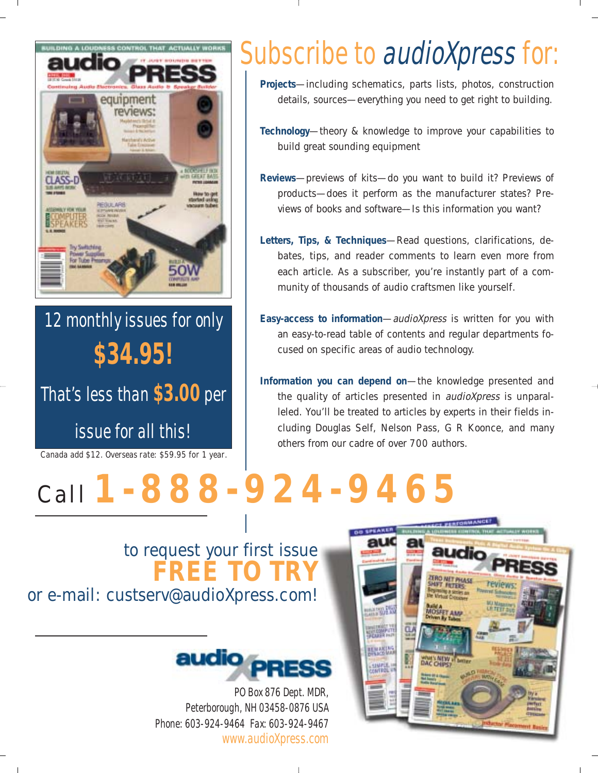

### 12 monthly issues for only **\$34.95!**

That's less than **\$3.00** per

issue for all this!

Canada add \$12. Overseas rate: \$59.95 for 1 year.

## Subscribe to *audioXpress* for:

**Projects**—including schematics, parts lists, photos, construction details, sources—everything you need to get right to building.

- **Technology**—theory & knowledge to improve your capabilities to build great sounding equipment
- **Reviews**—previews of kits—do you want to build it? Previews of products—does it perform as the manufacturer states? Previews of books and software—Is this information you want?
- **Letters, Tips, & Techniques**—Read questions, clarifications, debates, tips, and reader comments to learn even more from each article. As a subscriber, you're instantly part of a community of thousands of audio craftsmen like yourself.
- **Easy-access to information**—audioXpress is written for you with an easy-to-read table of contents and regular departments focused on specific areas of audio technology.
- **Information you can depend on**—the knowledge presented and the quality of articles presented in *audioXpress* is unparalleled. You'll be treated to articles by experts in their fields including Douglas Self, Nelson Pass, G R Koonce, and many others from our cadre of over 700 authors.

# Call **1-888-924-9465**

to request your first issue **FREE TO T** or e-mail: custserv@audioXpress.com!



PO Box 876 Dept. MDR, Peterborough, NH 03458-0876 USA Phone: 603-924-9464 Fax: 603-924-9467 www.audioXpress.com

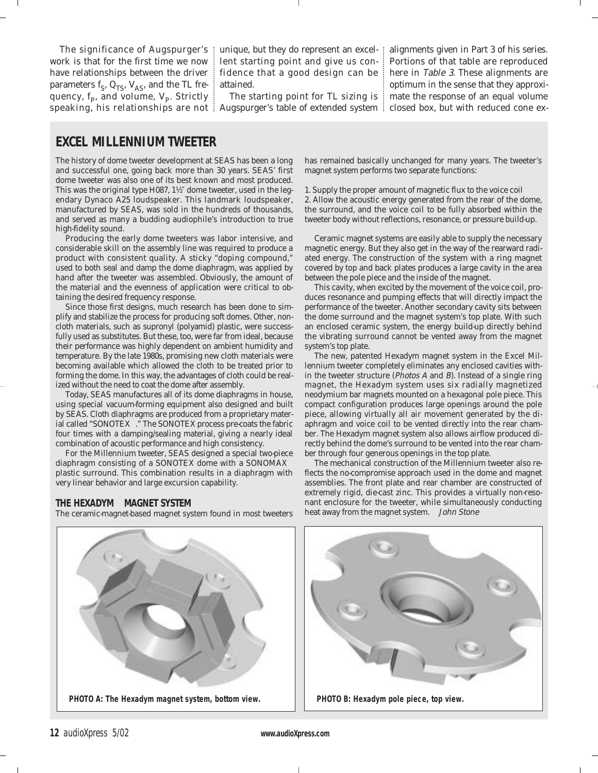The significance of Augspurger's work is that for the first time we now have relationships between the driver parameters  $f_S$ ,  $Q_{TS}$ ,  $V_{AS}$ , and the TL frequency,  $f_p$ , and volume,  $V_p$ . Strictly

unique, but they do represent an excel-÷ lent starting point and give us confidence that a good design can be attained.

speaking, his relationships are not Augspurger's table of extended system The starting point for TL sizing is

alignments given in Part 3 of his series. Portions of that table are reproduced here in Table 3. These alignments are optimum in the sense that they approximate the response of an equal volume closed box, but with reduced cone ex-

### **EXCEL MILLENNIUM TWEETER**

The history of dome tweeter development at SEAS has been a long and successful one, going back more than 30 years. SEAS' first dome tweeter was also one of its best known and most produced. This was the original type H087, 1½″ dome tweeter, used in the legendary Dynaco A25 loudspeaker. This landmark loudspeaker, manufactured by SEAS, was sold in the hundreds of thousands, and served as many a budding audiophile's introduction to true high-fidelity sound.

Producing the early dome tweeters was labor intensive, and considerable skill on the assembly line was required to produce a product with consistent quality. A sticky "doping compound," used to both seal and damp the dome diaphragm, was applied by hand after the tweeter was assembled. Obviously, the amount of the material and the evenness of application were critical to obtaining the desired frequency response.

Since those first designs, much research has been done to simplify and stabilize the process for producing soft domes. Other, noncloth materials, such as supronyl (polyamid) plastic, were successfully used as substitutes. But these, too, were far from ideal, because their performance was highly dependent on ambient humidity and temperature. By the late 1980s, promising new cloth materials were becoming available which allowed the cloth to be treated prior to forming the dome. In this way, the advantages of cloth could be realized without the need to coat the dome after assembly.

Today, SEAS manufactures all of its dome diaphragms in house, using special vacuum-forming equipment also designed and built by SEAS. Cloth diaphragms are produced from a proprietary material called "SONOTEX®." The SONOTEX process pre-coats the fabric four times with a damping/sealing material, giving a nearly ideal combination of acoustic performance and high consistency.

For the Millennium tweeter, SEAS designed a special two-piece diaphragm consisting of a SONOTEX dome with a SONOMAX plastic surround. This combination results in a diaphragm with very linear behavior and large excursion capability.

has remained basically unchanged for many years. The tweeter's magnet system performs two separate functions:

1. Supply the proper amount of magnetic flux to the voice coil 2. Allow the acoustic energy generated from the rear of the dome, the surround, and the voice coil to be fully absorbed within the tweeter body without reflections, resonance, or pressure build-up.

Ceramic magnet systems are easily able to supply the necessary magnetic energy. But they also get in the way of the rearward radiated energy. The construction of the system with a ring magnet covered by top and back plates produces a large cavity in the area between the pole piece and the inside of the magnet.

This cavity, when excited by the movement of the voice coil, produces resonance and pumping effects that will directly impact the performance of the tweeter. Another secondary cavity sits between the dome surround and the magnet system's top plate. With such an enclosed ceramic system, the energy build-up directly behind the vibrating surround cannot be vented away from the magnet system's top plate.

The new, patented Hexadym magnet system in the Excel Millennium tweeter completely eliminates any enclosed cavities within the tweeter structure (Photos A and B). Instead of a single ring magnet, the Hexadym system uses six radially magnetized neodymium bar magnets mounted on a hexagonal pole piece. This compact configuration produces large openings around the pole piece, allowing virtually all air movement generated by the diaphragm and voice coil to be vented directly into the rear chamber. The Hexadym magnet system also allows airflow produced directly behind the dome's surround to be vented into the rear chamber through four generous openings in the top plate.

The mechanical construction of the Millennium tweeter also reflects the no-compromise approach used in the dome and magnet assemblies. The front plate and rear chamber are constructed of extremely rigid, die-cast zinc. This provides a virtually non-resonant enclosure for the tweeter, while simultaneously conducting heat away from the magnet system. - John Stone

### **THE HEXADYM MAGNET SYSTEM**

The ceramic-magnet-based magnet system found in most tweeters



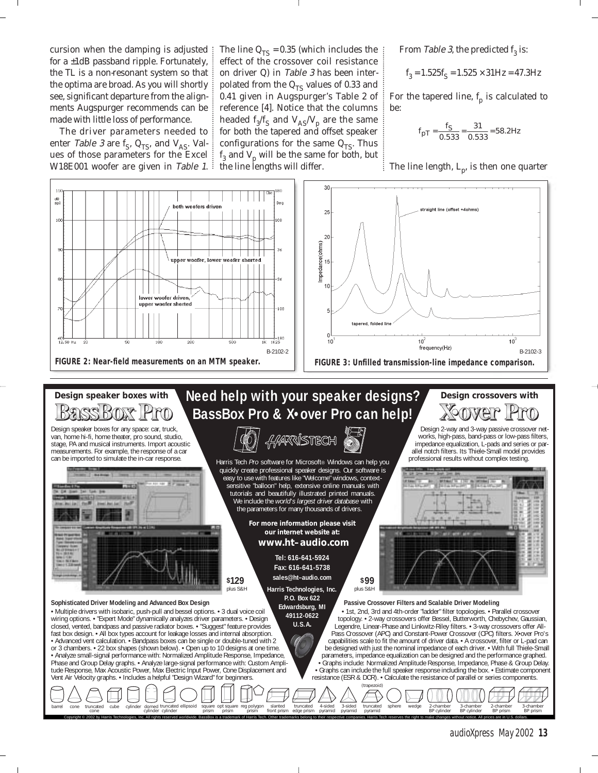cursion when the damping is adjusted for a  $\pm 1$ dB passband ripple. Fortunately, the TL is a non-resonant system so that the optima are broad. As you will shortly see, significant departure from the alignments Augspurger recommends can be made with little loss of performance.

The driver parameters needed to enter Table 3 are  $f_S$ ,  $Q_{TS}$ , and  $V_{AS}$ . Values of those parameters for the Excel W18E001 woofer are given in Table 1.

The line  $Q_{TS}$  = 0.35 (which includes the effect of the crossover coil resistance on driver Q) in Table 3 has been interpolated from the  $Q_{TS}$  values of 0.33 and 0.41 given in Augspurger's Table 2 of reference [4]. Notice that the columns headed  $f_3/f_S$  and  $V_{AS}/V_p$  are the same for both the tapered and offset speaker configurations for the same  $Q_{TS}$ . Thus  $\rm f_3$  and  $\rm V_p$  will be the same for both, but the line lengths will differ.

From Table 3, the predicted  $f_3$  is:

$$
f_3 = 1.525 f_S = 1.525 \times 31 Hz = 47.3 Hz
$$

For the tapered line,  $f_p$  is calculated to be:

$$
f_{pT} = \frac{f_S}{0.533} = \frac{31}{0.533} = 58.2 \text{ Hz}
$$

The line length,  $L_p$ , is then one quarter



Copyright © 2002 by Harris Technologies, Inc. All rights reserved worldwide. BassBox is a trademark of Harris Tech. Other trademarks belong to their respective companies. Harris Tech reserves the right to make changes with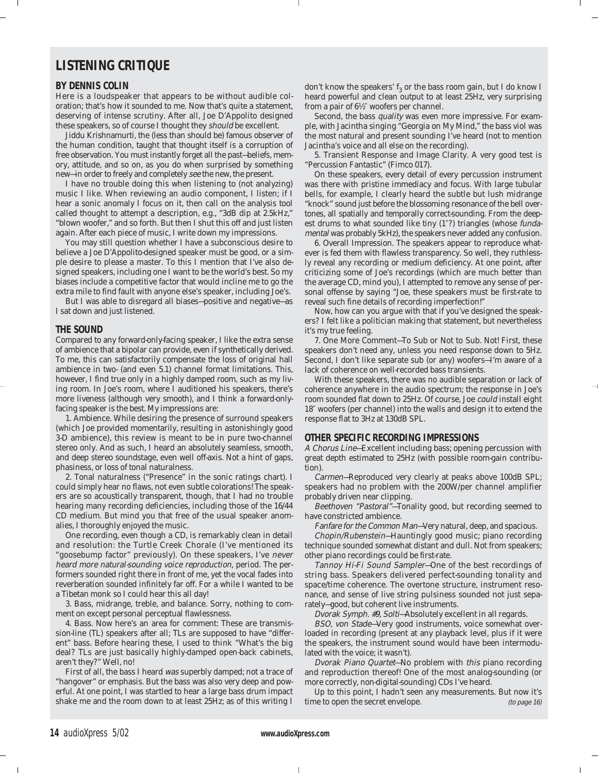### **LISTENING CRITIQUE**

### **BY DENNIS COLIN**

Here is a loudspeaker that appears to be without audible coloration; that's how it sounded to me. Now that's quite a statement, deserving of intense scrutiny. After all, Joe D'Appolito designed these speakers, so of course I thought they should be excellent.

Jiddu Krishnamurti, the (less than should be) famous observer of the human condition, taught that thought itself is a corruption of free observation. You must instantly forget all the past—beliefs, memory, attitude, and so on, as you do when surprised by something new—in order to freely and completely see the new, the present.

I have no trouble doing this when listening to (not analyzing) music I like. When reviewing an audio component, I listen; if I hear a sonic anomaly I focus on it, then call on the analysis tool called thought to attempt a description, e.g., "3dB dip at 2.5kHz," "blown woofer," and so forth. But then I shut this off and just listen again. After each piece of music, I write down my impressions.

You may still question whether I have a subconscious desire to believe a Joe D'Appolito-designed speaker must be good, or a simple desire to please a master. To this I mention that I've also designed speakers, including one I want to be the world's best. So my biases include a competitive factor that would incline me to go the extra mile to find fault with anyone else's speaker, including Joe's.

But I was able to disregard all biases—positive and negative—as I sat down and just listened.

### **THE SOUND**

Compared to any forward-only-facing speaker, I like the extra sense of ambience that a bipolar can provide, even if synthetically derived. To me, this can satisfactorily compensate the loss of original hall ambience in two- (and even 5.1) channel format limitations. This, however, I find true only in a highly damped room, such as my living room. In Joe's room, where I auditioned his speakers, there's more liveness (although very smooth), and I think a forward-onlyfacing speaker is the best. My impressions are:

1. Ambience. While desiring the presence of surround speakers (which Joe provided momentarily, resulting in astonishingly good 3-D ambience), this review is meant to be in pure two-channel stereo only. And as such, I heard an absolutely seamless, smooth, and deep stereo soundstage, even well off-axis. Not a hint of gaps, phasiness, or loss of tonal naturalness.

2. Tonal naturalness ("Presence" in the sonic ratings chart). I could simply hear no flaws, not even subtle colorations! The speakers are so acoustically transparent, though, that I had no trouble hearing many recording deficiencies, including those of the 16/44 CD medium. But mind you that free of the usual speaker anomalies, I thoroughly enjoyed the music.

One recording, even though a CD, is remarkably clean in detail and resolution: the Turtle Creek Chorale (I've mentioned its "goosebump factor" previously). On these speakers, I've never heard more natural-sounding voice reproduction, period. The performers sounded right there in front of me, yet the vocal fades into reverberation sounded infinitely far off. For a while I wanted to be a Tibetan monk so I could hear this all day!

3. Bass, midrange, treble, and balance. Sorry, nothing to comment on except personal perceptual flawlessness.

4. Bass. Now here's an area for comment: These are transmission-line (TL) speakers after all; TLs are supposed to have "different" bass. Before hearing these, I used to think "What's the big deal? TLs are just basically highly-damped open-back cabinets, aren't they?" Well, no!

First of all, the bass I heard was superbly damped; not a trace of "hangover" or emphasis. But the bass was also very deep and powerful. At one point, I was startled to hear a large bass drum impact shake me and the room down to at least 25Hz; as of this writing I

don't know the speakers'  $f_3$  or the bass room gain, but I do know I heard powerful and clean output to at least 25Hz, very surprising from a pair of 6½″ woofers per channel.

Second, the bass quality was even more impressive. For example, with Jacintha singing "Georgia on My Mind," the bass viol was the most natural and present sounding I've heard (not to mention Jacintha's voice and all else on the recording).

5. Transient Response and Image Clarity. A very good test is "Percussion Fantastic" (Fimco 017).

On these speakers, every detail of every percussion instrument was there with pristine immediacy and focus. With large tubular bells, for example, I clearly heard the subtle but lush midrange "knock" sound just before the blossoming resonance of the bell overtones, all spatially and temporally correct-sounding. From the deepest drums to what sounded like tiny (1″?) triangles (whose fundamental was probably 5kHz), the speakers never added any confusion.

6. Overall Impression. The speakers appear to reproduce whatever is fed them with flawless transparency. So well, they ruthlessly reveal any recording or medium deficiency. At one point, after criticizing some of Joe's recordings (which are much better than the average CD, mind you), I attempted to remove any sense of personal offense by saying "Joe, these speakers must be first-rate to reveal such fine details of recording imperfection!"

Now, how can you argue with that if you've designed the speakers? I felt like a politician making that statement, but nevertheless it's my true feeling.

7. One More Comment—To Sub or Not to Sub. Not! First, these speakers don't need any, unless you need response down to 5Hz. Second, I don't like separate sub (or any) woofers—I'm aware of a lack of coherence on well-recorded bass transients.

With these speakers, there was no audible separation or lack of coherence anywhere in the audio spectrum; the response in Joe's room sounded flat down to 25Hz. Of course, Joe could install eight 18″ woofers (per channel) into the walls and design it to extend the response flat to 3Hz at 130dB SPL.

### **OTHER SPECIFIC RECORDING IMPRESSIONS**

A Chorus Line—Excellent including bass; opening percussion with great depth estimated to 25Hz (with possible room-gain contribution).

Carmen—Reproduced very clearly at peaks above 100dB SPL; speakers had no problem with the 200W/per channel amplifier probably driven near clipping.

Beethoven "Pastoral"—Tonality good, but recording seemed to have constricted ambience.

Fanfare for the Common Man—Very natural, deep, and spacious.

Chopin/Rubenstein—Hauntingly good music; piano recording technique sounded somewhat distant and dull. Not from speakers; other piano recordings could be first-rate.

Tannoy Hi-Fi Sound Sampler—One of the best recordings of string bass. Speakers delivered perfect-sounding tonality and space/time coherence. The overtone structure, instrument resonance, and sense of live string pulsiness sounded not just separately—good, but coherent live instruments.

Dvorak Symph. #9, Solti—Absolutely excellent in all regards.

BSO, von Stade—Very good instruments, voice somewhat overloaded in recording (present at any playback level, plus if it were the speakers, the instrument sound would have been intermodulated with the voice; it wasn't).

Dvorak Piano Quartet—No problem with this piano recording and reproduction thereof! One of the most analog-sounding (or more correctly, non-digital-sounding) CDs I've heard.

Up to this point, I hadn't seen any measurements. But now it's time to open the secret envelope. (to page 16)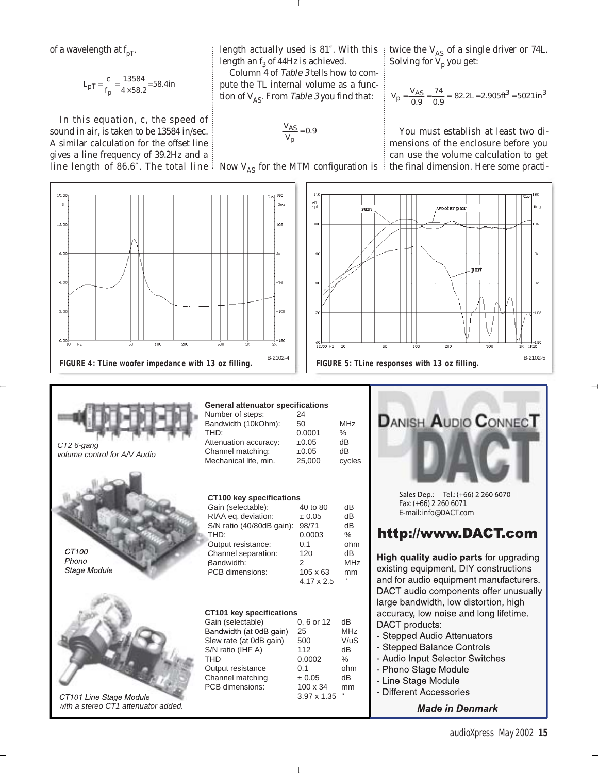of a wavelength at  $f_{pT}$ .

$$
L_{pT} = \frac{c}{f_p} = \frac{13584}{4 \times 58.2} = 58.4 \text{ in}
$$

In this equation, c, the speed of sound in air, is taken to be 13584 in/sec. A similar calculation for the offset line gives a line frequency of 39.2Hz and a



Column 4 of Table 3 tells how to compute the TL internal volume as a function of  $V_{AS}$ . From Table 3 you find that:

$$
\frac{V_{AS}}{V_p} = 0.9
$$

dB<br>sp

twice the  $V_{AS}$  of a single driver or 74L. Solving for  $V_p$  you get:

$$
V_p = \frac{V_{AS}}{0.9} = \frac{74}{0.9} = 82.2L = 2.905ft^3 = 5021in^3
$$

line length of 86.6″. The total line  $\colon$  Now  $\rm V_{AS}$  for the MTM configuration is  $\colon$  the final dimension. Here some practi-You must establish at least two dimensions of the enclosure before you can use the volume calculation to get

woofer pair











CT101 Line Stage Module with a stereo CT1 attenuator added.

### **General attenuator specifications**

| Number of steps:      | 24         |            |
|-----------------------|------------|------------|
| Bandwidth (10kOhm):   | 50         | <b>MHz</b> |
| THD:                  | 0.0001     | %          |
| Attenuation accuracy: | $\pm 0.05$ | dΒ         |
| Channel matching:     | ±0.05      | dΒ         |
| Mechanical life, min. | 25,000     | cycles     |

### **CT100 key specifications**

| Gain (selectable):        | 40 to 80          | dВ   |
|---------------------------|-------------------|------|
| RIAA eq. deviation:       | ± 0.05            | dB   |
| S/N ratio (40/80dB gain): | 98/71             | dВ   |
| THD:                      | 0.0003            | $\%$ |
| Output resistance:        | 0.1               | ohm  |
| Channel separation:       | 120               | dΒ   |
| Bandwidth:                | 2                 | MHz  |
| PCB dimensions:           | $105 \times 63$   | mm   |
|                           | $4.17 \times 2.5$ | п    |

### **CT101 key specifications**

| 0, 6 or 12      | dB         |
|-----------------|------------|
| 25              | <b>MHz</b> |
| 500             | V/uS       |
| 112             | dВ         |
| 0.0002          | $\%$       |
| 0.1             | ohm        |
| ± 0.05          | dВ         |
| $100 \times 34$ | mm         |
| 3.97 x 1.35     | п          |
|                 |            |



Sales Dep.: Tel.: (+66) 2 260 6070 Fax: (+66) 2 260 6071 E-mail: info@DACT.com

### http://www.DACT.com

High quality audio parts for upgrading existing equipment, DIY constructions and for audio equipment manufacturers. DACT audio components offer unusually large bandwidth, low distortion, high accuracy, low noise and long lifetime. DACT products:

- Stepped Audio Attenuators
- Stepped Balance Controls
- Audio Input Selector Switches
- Phono Stage Module
- Line Stage Module
- Different Accessories

**Made in Denmark**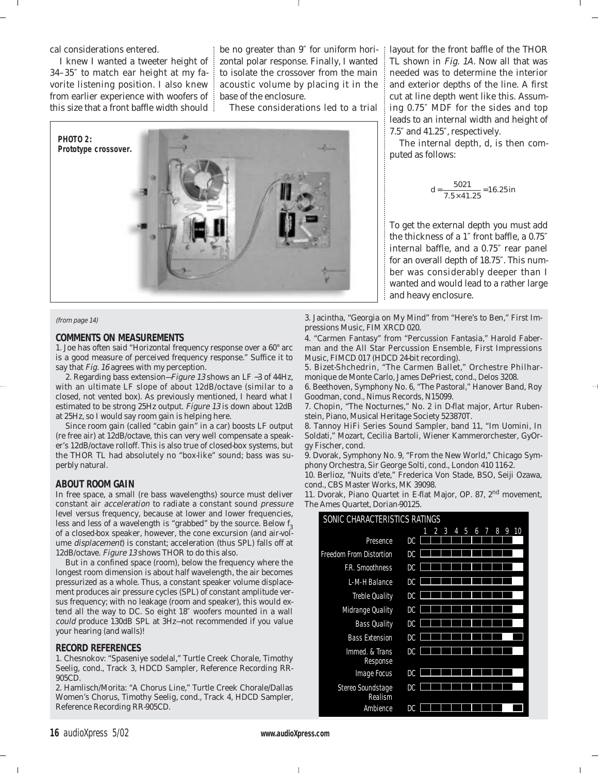cal considerations entered.

I knew I wanted a tweeter height of 34–35″ to match ear height at my favorite listening position. I also knew from earlier experience with woofers of this size that a front baffle width should be no greater than 9″ for uniform horizontal polar response. Finally, I wanted to isolate the crossover from the main acoustic volume by placing it in the base of the enclosure.

These considerations led to a trial



#### (from page 14)

#### **COMMENTS ON MEASUREMENTS**

1. Joe has often said "Horizontal frequency response over a 60° arc is a good measure of perceived frequency response." Suffice it to say that Fig. 16 agrees with my perception.

2. Regarding bass extension—Figure 13 shows an LF −3 of 44Hz, with an ultimate LF slope of about 12dB/octave (similar to a closed, not vented box). As previously mentioned, I heard what I estimated to be strong 25Hz output. Figure 13 is down about 12dB at 25Hz, so I would say room gain is helping here.

Since room gain (called "cabin gain" in a car) boosts LF output (re free air) at 12dB/octave, this can very well compensate a speaker's 12dB/octave rolloff. This is also true of closed-box systems, but the THOR TL had absolutely no "box-like" sound; bass was superbly natural.

### **ABOUT ROOM GAIN**

In free space, a small (re bass wavelengths) source must deliver constant air acceleration to radiate a constant sound pressure level versus frequency, because at lower and lower frequencies, less and less of a wavelength is "grabbed" by the source. Below  $f_3$ of a closed-box speaker, however, the cone excursion (and air-volume displacement) is constant; acceleration (thus SPL) falls off at 12dB/octave. Figure 13 shows THOR to do this also.

But in a confined space (room), below the frequency where the longest room dimension is about half wavelength, the air becomes pressurized as a whole. Thus, a constant speaker volume displacement produces air pressure cycles (SPL) of constant amplitude versus frequency; with no leakage (room and speaker), this would extend all the way to DC. So eight 18″ woofers mounted in a wall could produce 130dB SPL at 3Hz—not recommended if you value your hearing (and walls)!

### **RECORD REFERENCES**

1. Chesnokov: "Spaseniye sodelal," Turtle Creek Chorale, Timothy Seelig, cond., Track 3, HDCD Sampler, Reference Recording RR-905CD.

2. Hamlisch/Morita: "A Chorus Line," Turtle Creek Chorale/Dallas Women's Chorus, Timothy Seelig, cond., Track 4, HDCD Sampler, Reference Recording RR-905CD.

layout for the front baffle of the THOR TL shown in Fig. 1A. Now all that was needed was to determine the interior and exterior depths of the line. A first cut at line depth went like this. Assuming 0.75″ MDF for the sides and top leads to an internal width and height of 7.5″ and 41.25″, respectively.

The internal depth, d, is then computed as follows:

$$
d = \frac{5021}{7.5 \times 41.25} = 16.25 \text{ in}
$$

To get the external depth you must add the thickness of a 1″ front baffle, a 0.75″ internal baffle, and a 0.75″ rear panel for an overall depth of 18.75″. This number was considerably deeper than I wanted and would lead to a rather large and heavy enclosure.

3. Jacintha, "Georgia on My Mind" from "Here's to Ben," First Impressions Music, FIM XRCD 020.

4. "Carmen Fantasy" from "Percussion Fantasia," Harold Faberman and the All Star Percussion Ensemble, First Impressions Music, FIMCD 017 (HDCD 24-bit recording).

5. Bizet-Shchedrin, "The Carmen Ballet," Orchestre Philharmonique de Monte Carlo, James DePriest, cond., Delos 3208.

6. Beethoven, Symphony No. 6, "The Pastoral," Hanover Band, Roy Goodman, cond., Nimus Records, N15099.

7. Chopin, "The Nocturnes," No. 2 in D-flat major, Artur Rubenstein, Piano, Musical Heritage Society 523870T.

8. Tannoy HiFi Series Sound Sampler, band 11, "Im Uomini, In Soldati," Mozart, Cecilia Bartoli, Wiener Kammerorchester, GyOrgy Fischer, cond.

9. Dvorak, Symphony No. 9, "From the New World," Chicago Symphony Orchestra, Sir George Solti, cond., London 410 116-2.

10. Berlioz, "Nuits d'ete," Frederica Von Stade, BSO, Seiji Ozawa, cond., CBS Master Works, MK 39098.

11. Dvorak, Piano Quartet in E-flat Major, OP. 87, 2nd movement, The Ames Quartet, Dorian-90125.

| SONIC CHARACTERISTICS RATINGS  |     |   |   |   |   |   |   |   |    |
|--------------------------------|-----|---|---|---|---|---|---|---|----|
|                                |     | 2 | 3 | 4 | 5 | 6 | 8 | 9 | 10 |
| Presence                       | DC. |   |   |   |   |   |   |   |    |
| <b>Freedom From Distortion</b> | DC. |   |   |   |   |   |   |   |    |
| <b>F.R. Smoothness</b>         | DC. |   |   |   |   |   |   |   |    |
| L-M-H Balance                  | DC. |   |   |   |   |   |   |   |    |
| <b>Treble Quality</b>          | DC. |   |   |   |   |   |   |   |    |
| <b>Midrange Quality</b>        | DC. |   |   |   |   |   |   |   |    |
| <b>Bass Quality</b>            | DC. |   |   |   |   |   |   |   |    |
| <b>Bass Extension</b>          | DC. |   |   |   |   |   |   |   |    |
| Immed. & Trans                 | DC. |   |   |   |   |   |   |   |    |
| Response                       |     |   |   |   |   |   |   |   |    |
| Image Focus                    | DC. |   |   |   |   |   |   |   |    |
| Stereo Soundstage<br>Realism   | DC. |   |   |   |   |   |   |   |    |
| Ambience                       | DC. |   |   |   |   |   |   |   |    |
|                                |     |   |   |   |   |   |   |   |    |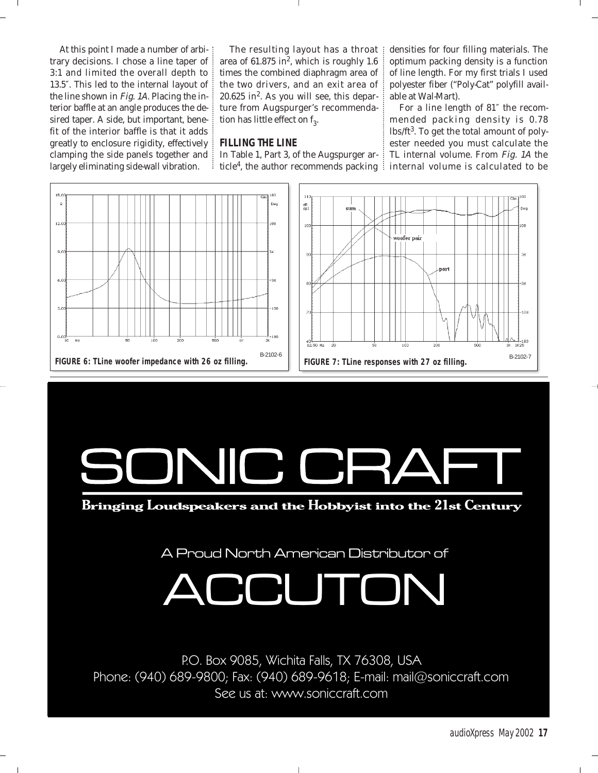At this point I made a number of arbitrary decisions. I chose a line taper of 3:1 and limited the overall depth to 13.5″. This led to the internal layout of the line shown in Fig. 1A. Placing the interior baffle at an angle produces the desired taper. A side, but important, benefit of the interior baffle is that it adds greatly to enclosure rigidity, effectively clamping the side panels together and largely eliminating side-wall vibration.

The resulting layout has a throat area of  $61.875$  in<sup>2</sup>, which is roughly 1.6 times the combined diaphragm area of the two drivers, and an exit area of  $20.625$  in<sup>2</sup>. As you will see, this departure from Augspurger's recommendation has little effect on  $f_3$ .

### **FILLING THE LINE**

In Table 1, Part 3, of the Augspurger article4, the author recommends packing densities for four filling materials. The optimum packing density is a function of line length. For my first trials I used polyester fiber ("Poly-Cat" polyfill available at Wal-Mart).

For a line length of 81″ the recommended packing density is 0.78 lbs/ft3. To get the total amount of polyester needed you must calculate the TL internal volume. From Fig. 1A the internal volume is calculated to be



### $\mathbf{r}$

### Bringing Loudspeakers and the Hobbyist into the 21st Century

A Proud North American Distributor of



P.O. Box 9085, Wichita Falls, TX 76308, USA Phone: (940) 689-9800; Fax: (940) 689-9618; E-mail: mail@soniccraft.com See us at: www.soniccraft.com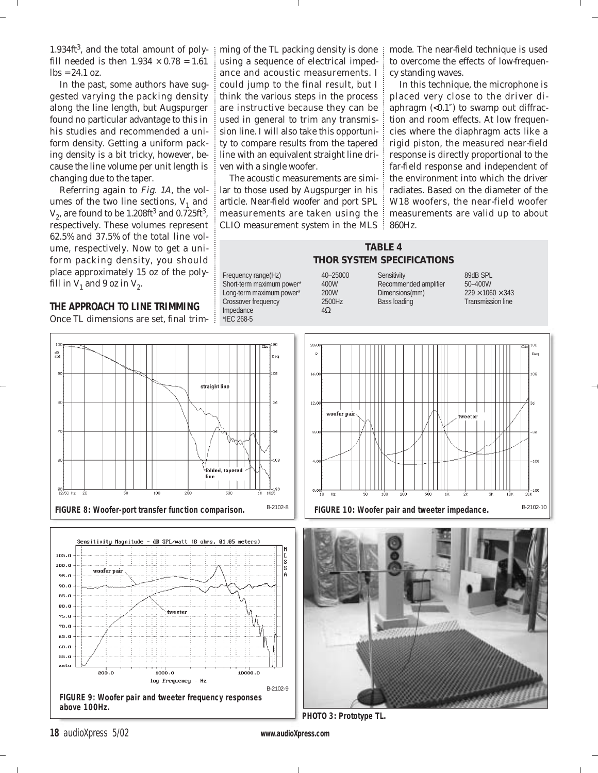1.934ft3, and the total amount of polyfill needed is then  $1.934 \times 0.78 = 1.61$  $\text{lbs} = 24.1 \text{ oz}$ .

In the past, some authors have suggested varying the packing density along the line length, but Augspurger found no particular advantage to this in his studies and recommended a uniform density. Getting a uniform packing density is a bit tricky, however, because the line volume per unit length is changing due to the taper.

Referring again to Fig. 1A, the volumes of the two line sections,  $V_1$  and  $V_2$ , are found to be 1.208ft<sup>3</sup> and 0.725ft<sup>3</sup>, respectively. These volumes represent 62.5% and 37.5% of the total line volume, respectively. Now to get a uniform packing density, you should place approximately 15 oz of the polyfill in  $V_1$  and 9 oz in  $V_2$ .

**THE APPROACH TO LINE TRIMMING** Once TL dimensions are set, final trimming of the TL packing density is done using a sequence of electrical impedance and acoustic measurements. I could jump to the final result, but I think the various steps in the process are instructive because they can be used in general to trim any transmission line. I will also take this opportunity to compare results from the tapered line with an equivalent straight line driven with a single woofer.

The acoustic measurements are similar to those used by Augspurger in his article. Near-field woofer and port SPL measurements are taken using the CLIO measurement system in the MLS

mode. The near-field technique is used to overcome the effects of low-frequency standing waves.

In this technique, the microphone is placed very close to the driver diaphragm  $\langle 0.1 \rangle$  to swamp out diffraction and room effects. At low frequencies where the diaphragm acts like a rigid piston, the measured near-field response is directly proportional to the far-field response and independent of the environment into which the driver radiates. Based on the diameter of the W18 woofers, the near-field woofer measurements are valid up to about 860Hz.

### **TABLE 4 THOR SYSTEM SPECIFICATIONS**

Frequency range(Hz)  $40-25000$  Sensitivity 89dB SPL<br>Short-term maximum power\* 400W Recommended amplifier 50-400W Short-term maximum power\* 400W Recommended amplifier 50–400W<br>
Long-term maximum power\* 200W Dimensions(mm) 229 × 1060 × 343 Long-term maximum power\* 200W Dimensions(mm) 229 × 1060 × 343<br>Crossover frequency 2500Hz Bass loading Transmission line Crossover frequency Impedance 4Ω \*IEC 268-5









**PHOTO 3: Prototype TL.**

**18** audioXpress 5/02 **www.audioXpress.com**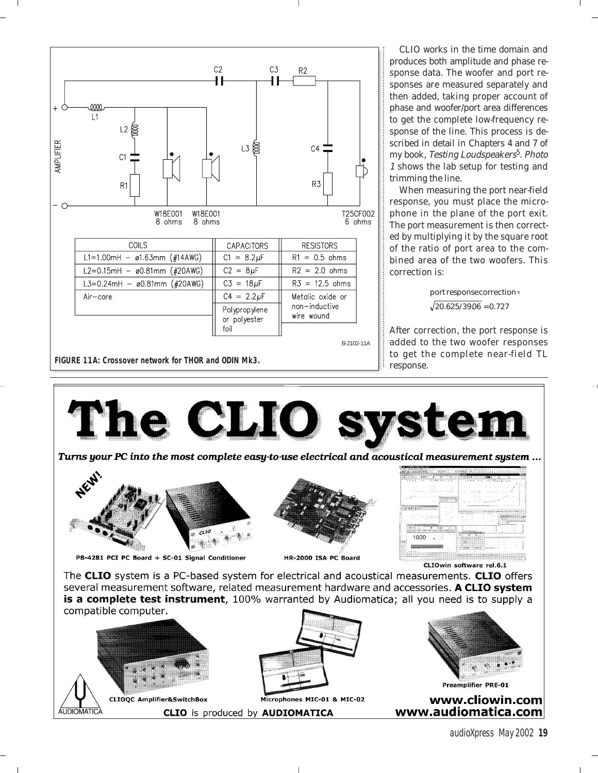

CLIO works in the time domain and produces both amplitude and phase response data. The woofer and port responses are measured separately and then added, taking proper account of phase and woofer/port area differences to get the complete low-frequency response of the line. This process is described in detail in Chapters 4 and 7 of my book, Testing Loudspeakers<sup>5</sup>. Photo 1 shows the lab setup for testing and trimming the line.

When measuring the port near-field response, you must place the microphone in the plane of the port exit. The port measurement is then corrected by multiplying it by the square root of the ratio of port area to the combined area of the two woofers. This correction is:

> $20.625/3906 = 0.727$ portresponsecorrection =

After correction, the port response is added to the two woofer responses to get the complete near-field TL response.



www.cliowin.com www.audiomatica.com

audioXpress May 2002 **19**

**CLIO** is produced by **AUDIOMATICA** 

Microphones MIC-01 & MIC-02

**CLIOQC Amplifier&SwitchBox**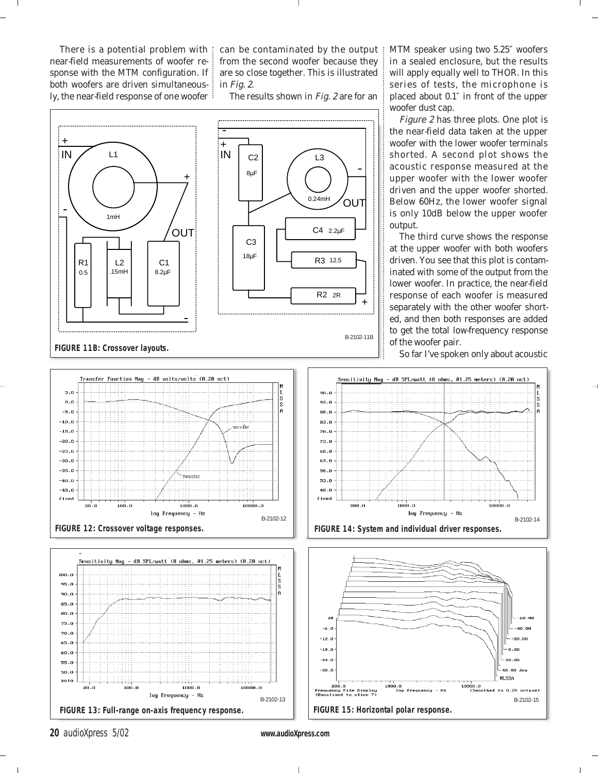There is a potential problem with near-field measurements of woofer response with the MTM configuration. If both woofers are driven simultaneously, the near-field response of one woofer

L1  $\begin{array}{|c|c|c|c|}\n\hline\n & 15mH & 82uF\n\end{array}$ R1 | L2 | | C1 | | | | | | | | | | | | | | R3 + + - - + IN  $\bigwedge$  L1  $\bigwedge$  IN **OUT** 1mH  $0.5$  .15mH  $8.2\mu$ F **FIGURE 11B: Crossover layouts.**



MTM speaker using two 5.25″ woofers in a sealed enclosure, but the results will apply equally well to THOR. In this series of tests, the microphone is placed about 0.1″ in front of the upper woofer dust cap.

Figure 2 has three plots. One plot is the near-field data taken at the upper woofer with the lower woofer terminals shorted. A second plot shows the acoustic response measured at the upper woofer with the lower woofer driven and the upper woofer shorted. Below 60Hz, the lower woofer signal is only 10dB below the upper woofer output.

The third curve shows the response at the upper woofer with both woofers driven. You see that this plot is contaminated with some of the output from the lower woofer. In practice, the near-field response of each woofer is measured separately with the other woofer shorted, and then both responses are added to get the total low-frequency response of the woofer pair.

So far I've spoken only about acoustic









Sensitivitų Mag  $-$  dB SPL/watt (8 ohms, 01.25 meters) (0.20 oct. 100.0 ء<br>S 95.0  $\overline{\mathbf{S}}$ 90.0 85.0 80.0 75.0 zo.o 65.0 60.0  $55.0$ 50.0 auto 20.0  $100.0$  $1000.0$  $10000.0$ log Frequency - Hz **FIGURE 13: Full-range on-axis frequency response.**

**20** audioXpress 5/02 **www.audioXpress.com**

can be contaminated by the output from the second woofer because they are so close together. This is illustrated

The results shown in Fig. 2 are for an

in Fig. 2.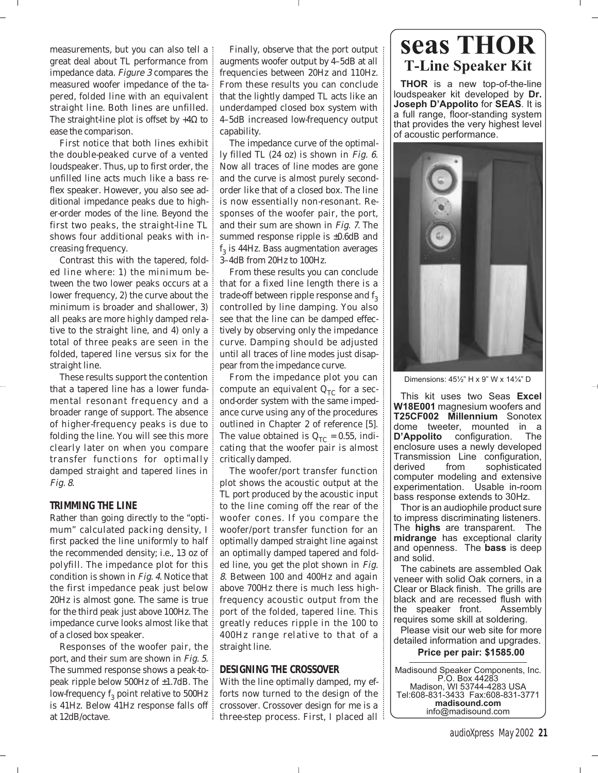measurements, but you can also tell a great deal about TL performance from impedance data. Figure 3 compares the measured woofer impedance of the tapered, folded line with an equivalent straight line. Both lines are unfilled. The straight-line plot is offset by  $+4\Omega$  to ease the comparison.

First notice that both lines exhibit the double-peaked curve of a vented loudspeaker. Thus, up to first order, the unfilled line acts much like a bass reflex speaker. However, you also see additional impedance peaks due to higher-order modes of the line. Beyond the first two peaks, the straight-line TL shows four additional peaks with increasing frequency.

Contrast this with the tapered, folded line where: 1) the minimum between the two lower peaks occurs at a lower frequency, 2) the curve about the minimum is broader and shallower, 3) all peaks are more highly damped relative to the straight line, and 4) only a total of three peaks are seen in the folded, tapered line versus six for the straight line.

These results support the contention that a tapered line has a lower fundamental resonant frequency and a broader range of support. The absence of higher-frequency peaks is due to folding the line. You will see this more clearly later on when you compare transfer functions for optimally damped straight and tapered lines in Fig. 8.

### **TRIMMING THE LINE**

Rather than going directly to the "optimum" calculated packing density, I first packed the line uniformly to half the recommended density; i.e., 13 oz of polyfill. The impedance plot for this condition is shown in Fig. 4. Notice that the first impedance peak just below 20Hz is almost gone. The same is true for the third peak just above 100Hz. The impedance curve looks almost like that of a closed box speaker.

Responses of the woofer pair, the port, and their sum are shown in Fig. 5. The summed response shows a peak-topeak ripple below 500Hz of ±1.7dB. The low-frequency  $f_3$  point relative to 500Hz is 41Hz. Below 41Hz response falls off at 12dB/octave.

Finally, observe that the port output augments woofer output by 4–5dB at all frequencies between 20Hz and 110Hz. From these results you can conclude that the lightly damped TL acts like an underdamped closed box system with 4–5dB increased low-frequency output capability.

The impedance curve of the optimally filled TL (24 oz) is shown in Fig. 6. Now all traces of line modes are gone and the curve is almost purely secondorder like that of a closed box. The line is now essentially non-resonant. Responses of the woofer pair, the port, and their sum are shown in Fig. 7. The summed response ripple is ±0.6dB and  $\rm f_3$  is 44Hz. Bass augmentation averages 3–4dB from 20Hz to 100Hz.

From these results you can conclude that for a fixed line length there is a trade-off between ripple response and  $f_3$ controlled by line damping. You also see that the line can be damped effectively by observing only the impedance curve. Damping should be adjusted until all traces of line modes just disappear from the impedance curve.

From the impedance plot you can compute an equivalent  $Q_{TC}$  for a second-order system with the same impedance curve using any of the procedures outlined in Chapter 2 of reference [5]. The value obtained is  $Q_{TC} = 0.55$ , indicating that the woofer pair is almost critically damped.

The woofer/port transfer function plot shows the acoustic output at the TL port produced by the acoustic input to the line coming off the rear of the woofer cones. If you compare the woofer/port transfer function for an optimally damped straight line against an optimally damped tapered and folded line, you get the plot shown in Fig. 8. Between 100 and 400Hz and again above 700Hz there is much less highfrequency acoustic output from the port of the folded, tapered line. This greatly reduces ripple in the 100 to 400Hz range relative to that of a straight line.

### **DESIGNING THE CROSSOVER**

With the line optimally damped, my efforts now turned to the design of the crossover. Crossover design for me is a three-step process. First, I placed all

### **seas THOR T-Line Speaker Kit**

**THOR** is a new top-of-the-line loudspeaker kit developed by **Dr. Joseph D'Appolito** for **SEAS**. It is a full range, floor-standing system that provides the very highest level of acoustic performance.



Dimensions: 45½" H x 9" W x 14¼" D

This kit uses two Seas **Excel W18E001** magnesium woofers and **T25CF002 Millennium** Sonotex dome tweeter, mounted in a **D'Appolito** configuration. The enclosure uses a newly developed Transmission Line configuration, from sophisticated computer modeling and extensive experimentation. Usable in-room bass response extends to 30Hz.

Thor is an audiophile product sure to impress discriminating listeners. The **highs** are transparent. The **midrange** has exceptional clarity and openness. The **bass** is deep and solid.

The cabinets are assembled Oak veneer with solid Oak corners, in a Clear or Black finish. The grills are black and are recessed flush with the speaker front. Assembly requires some skill at soldering.

Please visit our web site for more detailed information and upgrades.

### **Price per pair: \$1585.00**

Madisound Speaker Components, Inc. P.O. Box 44283 Madison, WI 53744-4283 USA Tel:608-831-3433 Fax:608-831-3771 **madisound.com** info@madisound.com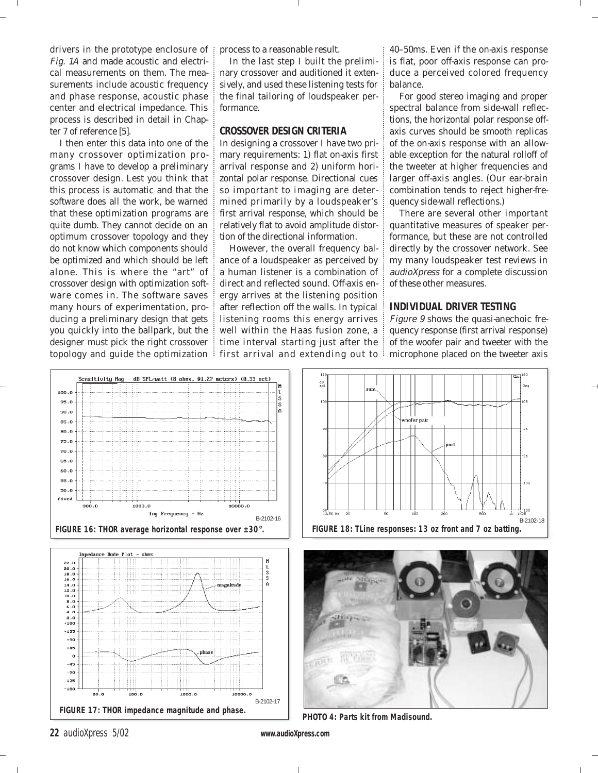drivers in the prototype enclosure of Fig. 1A and made acoustic and electrical measurements on them. The measurements include acoustic frequency and phase response, acoustic phase center and electrical impedance. This process is described in detail in Chapter 7 of reference [5].

I then enter this data into one of the many crossover optimization programs I have to develop a preliminary crossover design. Lest you think that this process is automatic and that the software does all the work, be warned that these optimization programs are quite dumb. They cannot decide on an optimum crossover topology and they do not know which components should be optimized and which should be left alone. This is where the "art" of crossover design with optimization software comes in. The software saves many hours of experimentation, producing a preliminary design that gets you quickly into the ballpark, but the designer must pick the right crossover topology and guide the optimization

process to a reasonable result.

In the last step I built the preliminary crossover and auditioned it extensively, and used these listening tests for the final tailoring of loudspeaker performance.

### **CROSSOVER DESIGN CRITERIA**

In designing a crossover I have two primary requirements: 1) flat on-axis first arrival response and 2) uniform horizontal polar response. Directional cues so important to imaging are determined primarily by a loudspeaker's first arrival response, which should be relatively flat to avoid amplitude distortion of the directional information.

However, the overall frequency balance of a loudspeaker as perceived by a human listener is a combination of direct and reflected sound. Off-axis energy arrives at the listening position after reflection off the walls. In typical listening rooms this energy arrives well within the Haas fusion zone, a time interval starting just after the first arrival and extending out to 40–50ms. Even if the on-axis response is flat, poor off-axis response can produce a perceived colored frequency balance.

For good stereo imaging and proper spectral balance from side-wall reflections, the horizontal polar response offaxis curves should be smooth replicas of the on-axis response with an allowable exception for the natural rolloff of the tweeter at higher frequencies and larger off-axis angles. (Our ear-brain combination tends to reject higher-frequency side-wall reflections.)

There are several other important quantitative measures of speaker performance, but these are not controlled directly by the crossover network. See my many loudspeaker test reviews in audioXpress for a complete discussion of these other measures.

### **INDIVIDUAL DRIVER TESTING**

Figure 9 shows the quasi-anechoic frequency response (first arrival response) of the woofer pair and tweeter with the microphone placed on the tweeter axis









**PHOTO 4: Parts kit from Madisound.**

**22** audioXpress 5/02 **www.audioXpress.com**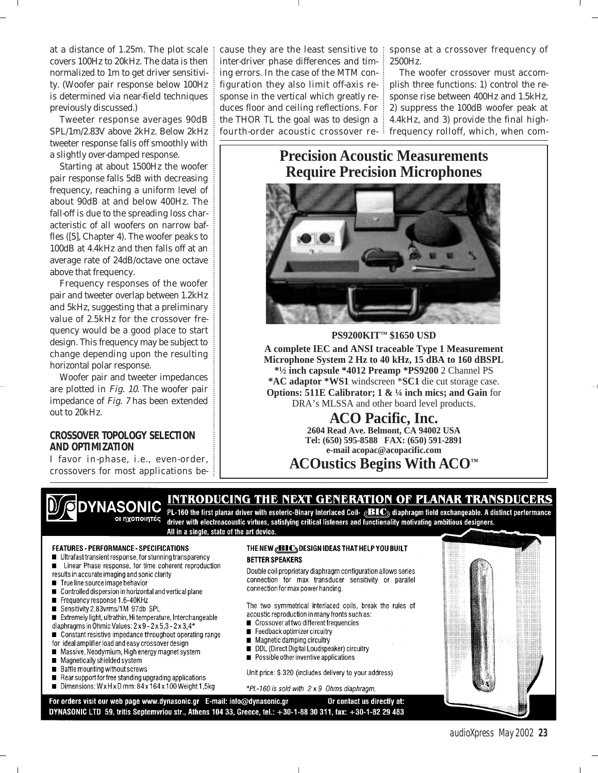at a distance of 1.25m. The plot scale covers 100Hz to 20kHz. The data is then normalized to 1m to get driver sensitivity. (Woofer pair response below 100Hz is determined via near-field techniques previously discussed.)

Tweeter response averages 90dB SPL/1m/2.83V above 2kHz. Below 2kHz tweeter response falls off smoothly with a slightly over-damped response.

Starting at about 1500Hz the woofer pair response falls 5dB with decreasing frequency, reaching a uniform level of about 90dB at and below 400Hz. The fall-off is due to the spreading loss characteristic of all woofers on narrow baffles ([5], Chapter 4). The woofer peaks to 100dB at 4.4kHz and then falls off at an average rate of 24dB/octave one octave above that frequency.

Frequency responses of the woofer pair and tweeter overlap between 1.2kHz and 5kHz, suggesting that a preliminary value of 2.5kHz for the crossover frequency would be a good place to start design. This frequency may be subject to change depending upon the resulting horizontal polar response.

Woofer pair and tweeter impedances are plotted in Fig. 10. The woofer pair impedance of Fig. 7 has been extended out to 20kHz.

### **CROSSOVER TOPOLOGY SELECTION AND OPTIMIZATION**

I favor in-phase, i.e., even-order, crossovers for most applications because they are the least sensitive to inter-driver phase differences and timing errors. In the case of the MTM configuration they also limit off-axis response in the vertical which greatly reduces floor and ceiling reflections. For the THOR TL the goal was to design a fourth-order acoustic crossover response at a crossover frequency of 2500Hz.

The woofer crossover must accomplish three functions: 1) control the response rise between 400Hz and 1.5kHz, 2) suppress the 100dB woofer peak at 4.4kHz, and 3) provide the final highfrequency rolloff, which, when com-

### **Precision Acoustic Measurements Require Precision Microphones**



**PS9200KIT™ \$1650 USD A complete IEC and ANSI traceable Type 1 Measurement Microphone System 2 Hz to 40 kHz, 15 dBA to 160 dBSPL \*½ inch capsule \*4012 Preamp \*PS9200** 2 Channel PS **\*AC adaptor \*WS1** windscreen \***SC1** die cut storage case. **Options: 511E Calibrator; 1 & ¼ inch mics; and Gain** for DRA's MLSSA and other board level products.

> **ACO Pacific, Inc. 2604 Read Ave. Belmont, CA 94002 USA Tel: (650) 595-8588 FAX: (650) 591-2891 e-mail acopac@acopacific.com**

**ACOustics Begins With ACO™**

**INTRODUCING THE NEXT GENERATION OF PLANAR TRANSDUCERS DYNASONIC** 

PL-160 the first planar driver with esoteric-Binary Interlaced Coil- $\langle BIC \rangle$  diaphragm field exchangeable. A distinct performance οι ηχοποιητές driver with electroacoustic virtues, satisfying critical listeners and functionality motivating ambitious designers. All in a single, state of the art device.

### **FEATURES - PERFORMANCE - SPECIFICATIONS**

- Ultrafast transient response, for stunning transparency
- Linear Phase response, for time coherent reproduction results in accurate imaging and sonic clarity
- True line source image behavior
- Controlled dispersion in horizontal and vertical plane П
- Frequency response 1.6-40KHz  $\blacksquare$
- Sensitivity 2,83vrms/1M 97db SPL
- Extremely light, ultrathin, Hi temperature, Interchangeable
- diaphragms in Ohmic Values:  $2 \times 9 2 \times 5$ ,  $3 2 \times 3$ ,  $4*$
- Constant resistive impedance throughout operating range for ideal amplifier load and easy crossover design
- Massive, Neodymium, High energy magnet system
- $\blacksquare$ Magnetically shielded system
- $\blacksquare$ Baffle mounting without screws
- Rear support for free standing upgrading applications П
- Dimensions:  $W \times H \times D$  mm:  $84 \times 164 \times 100$  Weight 1,5kg

For orders visit our web page www.dynasonic.gr E-mail: info@dynasonic.gr

DYNASONIC LTD 59, tritis Septemvriou str., Athens 104 33, Greece, tel.: +30-1-88 30 311, fax: +30-1-82 29 483

### THE NEW **RELC** DESIGN IDEAS THAT HELP YOU BUILT **BETTER SPEAKERS**

Double coil proprietary diaphragm configuration allows series connection for max transducer sensitivity or parallel connection for max power handing.

The two symmetrical interlaced coils, break the rules of acoustic reproduction in many fronts such as:

- Crossover at two different frequencies
- Feedback optimizer circuitry
- Magnetic damping circuitry .
- DDL (Direct Digital Loudspeaker) circuitry
- Possible other inventive applications

Unit price: \$320 (includes delivery to your address)

Or contact us directly at:

\*PL-160 is sold with 2 x 9 Ohms diaphragm.

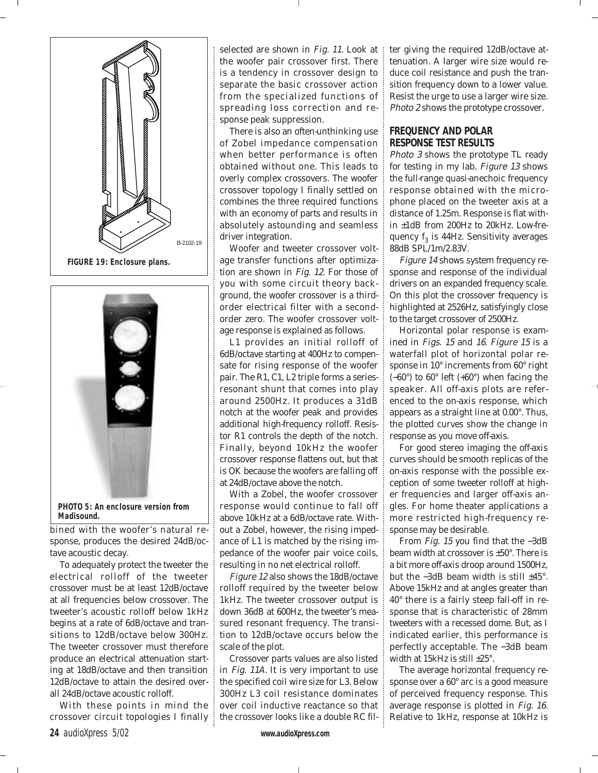



**Madisound.**

bined with the woofer's natural response, produces the desired 24dB/octave acoustic decay.

To adequately protect the tweeter the electrical rolloff of the tweeter crossover must be at least 12dB/octave at all frequencies below crossover. The tweeter's acoustic rolloff below 1kHz begins at a rate of 6dB/octave and transitions to 12dB/octave below 300Hz. The tweeter crossover must therefore produce an electrical attenuation starting at 18dB/octave and then transition 12dB/octave to attain the desired overall 24dB/octave acoustic rolloff.

With these points in mind the crossover circuit topologies I finally selected are shown in Fig. 11. Look at the woofer pair crossover first. There is a tendency in crossover design to separate the basic crossover action from the specialized functions of spreading loss correction and response peak suppression.

There is also an often-unthinking use of Zobel impedance compensation when better performance is often obtained without one. This leads to overly complex crossovers. The woofer crossover topology I finally settled on combines the three required functions with an economy of parts and results in absolutely astounding and seamless driver integration.

Woofer and tweeter crossover voltage transfer functions after optimization are shown in Fig. 12. For those of you with some circuit theory background, the woofer crossover is a thirdorder electrical filter with a secondorder zero. The woofer crossover voltage response is explained as follows.

L1 provides an initial rolloff of 6dB/octave starting at 400Hz to compensate for rising response of the woofer pair. The R1, C1, L2 triple forms a seriesresonant shunt that comes into play around 2500Hz. It produces a 31dB notch at the woofer peak and provides additional high-frequency rolloff. Resistor R1 controls the depth of the notch. Finally, beyond 10kHz the woofer crossover response flattens out, but that is OK because the woofers are falling off at 24dB/octave above the notch.

With a Zobel, the woofer crossover response would continue to fall off above 10kHz at a 6dB/octave rate. Without a Zobel, however, the rising impedance of L1 is matched by the rising impedance of the woofer pair voice coils, resulting in no net electrical rolloff.

Figure 12 also shows the 18dB/octave rolloff required by the tweeter below 1kHz. The tweeter crossover output is down 36dB at 600Hz, the tweeter's measured resonant frequency. The transition to 12dB/octave occurs below the scale of the plot.

Crossover parts values are also listed in Fig. 11A. It is very important to use the specified coil wire size for L3. Below 300Hz L3 coil resistance dominates over coil inductive reactance so that the crossover looks like a double RC filter giving the required 12dB/octave attenuation. A larger wire size would reduce coil resistance and push the transition frequency down to a lower value. Resist the urge to use a larger wire size. Photo 2 shows the prototype crossover.

### **FREQUENCY AND POLAR RESPONSE TEST RESULTS**

Photo 3 shows the prototype TL ready for testing in my lab. Figure 13 shows the full-range quasi-anechoic frequency response obtained with the microphone placed on the tweeter axis at a distance of 1.25m. Response is flat within ±1dB from 200Hz to 20kHz. Low-frequency  $f_3$  is 44Hz. Sensitivity averages 88dB SPL/1m/2.83V.

Figure 14 shows system frequency response and response of the individual drivers on an expanded frequency scale. On this plot the crossover frequency is highlighted at 2526Hz, satisfyingly close to the target crossover of 2500Hz.

Horizontal polar response is examined in Figs. 15 and 16. Figure 15 is a waterfall plot of horizontal polar response in 10° increments from 60° right (−60°) to 60° left (+60°) when facing the speaker. All off-axis plots are referenced to the on-axis response, which appears as a straight line at 0.00°. Thus, the plotted curves show the change in response as you move off-axis.

For good stereo imaging the off-axis curves should be smooth replicas of the on-axis response with the possible exception of some tweeter rolloff at higher frequencies and larger off-axis angles. For home theater applications a more restricted high-frequency response may be desirable.

From Fig. 15 you find that the −3dB beam width at crossover is ±50°. There is a bit more off-axis droop around 1500Hz, but the −3dB beam width is still ±45°. Above 15kHz and at angles greater than 40° there is a fairly steep fall-off in response that is characteristic of 28mm tweeters with a recessed dome. But, as I indicated earlier, this performance is perfectly acceptable. The −3dB beam width at 15kHz is still ±25°.

The average horizontal frequency response over a 60° arc is a good measure of perceived frequency response. This average response is plotted in Fig. 16. Relative to 1kHz, response at 10kHz is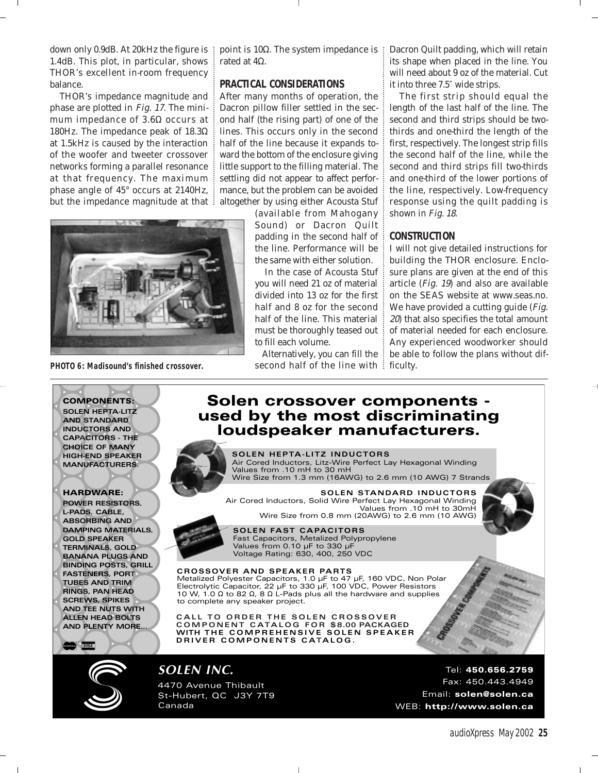down only 0.9dB. At 20kHz the figure is 1.4dB. This plot, in particular, shows THOR's excellent in-room frequency balance.

THOR's impedance magnitude and phase are plotted in Fig. 17. The minimum impedance of 3.6Ω occurs at 180Hz. The impedance peak of 18.3Ω at 1.5kHz is caused by the interaction of the woofer and tweeter crossover networks forming a parallel resonance at that frequency. The maximum phase angle of 45° occurs at 2140Hz, but the impedance magnitude at that



**PHOTO 6: Madisound's finished crossover.**

point is 10Ω. The system impedance is rated at 4Ω.

### **PRACTICAL CONSIDERATIONS**

After many months of operation, the Dacron pillow filler settled in the second half (the rising part) of one of the lines. This occurs only in the second half of the line because it expands toward the bottom of the enclosure giving little support to the filling material. The settling did not appear to affect performance, but the problem can be avoided altogether by using either Acousta Stuf

> (available from Mahogany Sound) or Dacron Quilt padding in the second half of the line. Performance will be the same with either solution.

> In the case of Acousta Stuf you will need 21 oz of material divided into 13 oz for the first half and 8 oz for the second half of the line. This material must be thoroughly teased out to fill each volume.

Alternatively, you can fill the second half of the line with

Dacron Quilt padding, which will retain its shape when placed in the line. You will need about 9 oz of the material. Cut it into three 7.5″ wide strips.

The first strip should equal the length of the last half of the line. The second and third strips should be twothirds and one-third the length of the first, respectively. The longest strip fills the second half of the line, while the second and third strips fill two-thirds and one-third of the lower portions of the line, respectively. Low-frequency response using the quilt padding is shown in Fig. 18.

### **CONSTRUCTION**

I will not give detailed instructions for building the THOR enclosure. Enclosure plans are given at the end of this article (Fig. 19) and also are available on the SEAS website at www.seas.no. We have provided a cutting guide (Fig. 20) that also specifies the total amount of material needed for each enclosure. Any experienced woodworker should be able to follow the plans without difficulty.



### **HARDWARE: POWER RESISTORS,**

**L-PADS, CABLE, ABSORBING AND DAMPING MATERIALS, GOLD SPEAKER TERMINALS, GOLD BANANA PLUGS AND BINDING POSTS, GRILL FASTENERS, PORT TUBES AND TRIM RINGS, PAN HEAD SCREWS, SPIKES AND TEE NUTS WITH ALLEN HEAD BOLTS AND PLENTY MORE...**

### **Solen crossover components used by the most discriminating loudspeaker manufacturers.**



**SOLEN STANDARD INDUCTORS** Air Cored Inductors, Solid Wire Perfect Lay Hexagonal Winding Values from .10 mH to 30mH Wire Size from 0.8 mm (20AWG) to 2.6 mm (10 AWG)



**SOLEN FAST CAPACITORS** Fast Capacitors, Metalized Polypropylene Values from 0.10 µF to 330 µF Voltage Rating: 630, 400, 250 VDC

**CROSSOVER AND SPEAKER PARTS** Metalized Polyester Capacitors, 1.0 µF to 47 µF, 160 VDC, Non Polar Electrolytic Capacitor, 22 µF to 330 µF, 100 VDC, Power Resistors 10 W, 1.0 Ω to 82 Ω, 8 Ω L-Pads plus all the hardware and supplies to complete any speaker project.

**CALL TO ORDER THE SOLEN CROSSOVER C OM P O N E N T C A TA L O G F O R \$ 8.00 PACKAGED WITH THE COMPREHENSIVE SOLEN SPEAKER DRIVER COMPONENTS CATALOG.**



**WISA** 

4470 Avenue Thibault St-Hubert, QC J3Y 7T9 Canada

*SOLEN INC.* Tel: **450.656.2759** Fax: 450.443.4949 Email: **solen@solen.ca** WEB: **http://www.solen.ca**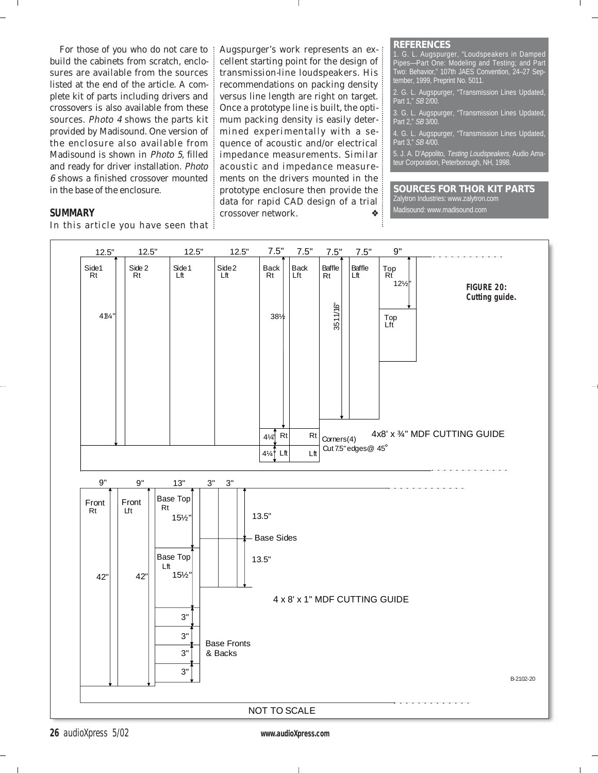For those of you who do not care to build the cabinets from scratch, enclosures are available from the sources listed at the end of the article. A complete kit of parts including drivers and crossovers is also available from these sources. Photo 4 shows the parts kit provided by Madisound. One version of the enclosure also available from Madisound is shown in Photo 5, filled and ready for driver installation. Photo 6 shows a finished crossover mounted in the base of the enclosure.

### **SUMMARY**

In this article you have seen that

Augspurger's work represents an excellent starting point for the design of transmission-line loudspeakers. His recommendations on packing density versus line length are right on target. Once a prototype line is built, the optimum packing density is easily determined experimentally with a sequence of acoustic and/or electrical impedance measurements. Similar acoustic and impedance measurements on the drivers mounted in the prototype enclosure then provide the data for rapid CAD design of a trial crossover network.

#### **REFERENCES**

1. G. L. Augspurger, "Loudspeakers in Damped Pipes—Part One: Modeling and Testing; and Part Two: Behavior," 107th JAES Convention, 24–27 September, 1999, Preprint No. 5011.

2. G. L. Augspurger, "Transmission Lines Updated, Part 1," SB 2/00.

3. G. L. Augspurger, "Transmission Lines Updated, Part 2," SB 3/00.

4. G. L. Augspurger, "Transmission Lines Updated, Part 3," SB 4/00.

5. J. A. D'Appolito, *Testing Loudspeakers*, Audio Amateur Corporation, Peterborough, NH, 1998.

**SOURCES FOR THOR KIT PARTS** Zalytron Industries: www.zalytron.com

Madisound: www.madisound.com



**26** audioXpress 5/02 **www.audioXpress.com**

 $\mathcal{L}$